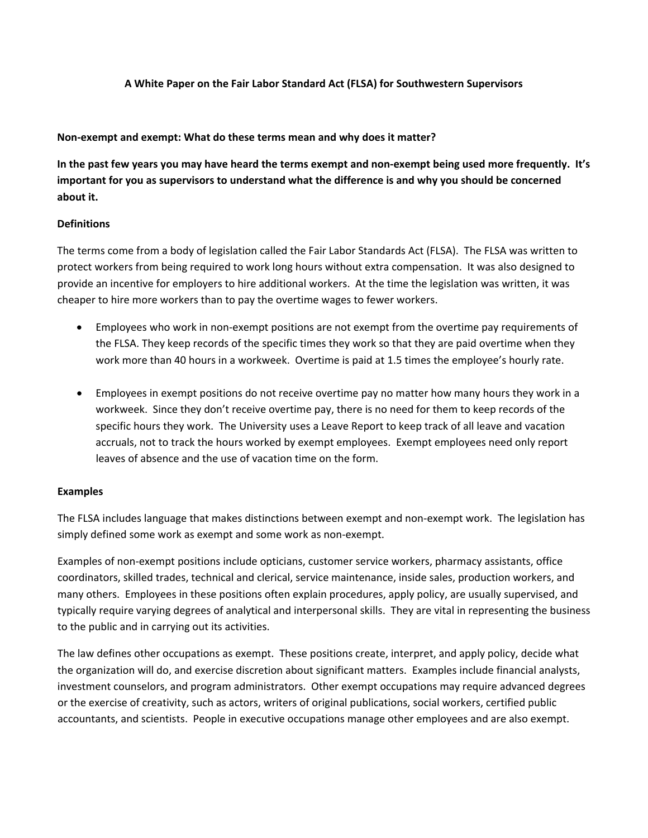## **A White Paper on the Fair Labor Standard Act (FLSA) for Southwestern Supervisors**

#### **Non‐exempt and exempt: What do these terms mean and why does it matter?**

In the past few years you may have heard the terms exempt and non-exempt being used more frequently. It's **important for you as supervisors to understand what the difference is and why you should be concerned about it.**

## **Definitions**

The terms come from a body of legislation called the Fair Labor Standards Act (FLSA). The FLSA was written to protect workers from being required to work long hours without extra compensation. It was also designed to provide an incentive for employers to hire additional workers. At the time the legislation was written, it was cheaper to hire more workers than to pay the overtime wages to fewer workers.

- Employees who work in non-exempt positions are not exempt from the overtime pay requirements of the FLSA. They keep records of the specific times they work so that they are paid overtime when they work more than 40 hours in a workweek. Overtime is paid at 1.5 times the employee's hourly rate.
- Employees in exempt positions do not receive overtime pay no matter how many hours they work in a workweek. Since they don't receive overtime pay, there is no need for them to keep records of the specific hours they work. The University uses a Leave Report to keep track of all leave and vacation accruals, not to track the hours worked by exempt employees. Exempt employees need only report leaves of absence and the use of vacation time on the form.

## **Examples**

The FLSA includes language that makes distinctions between exempt and non‐exempt work. The legislation has simply defined some work as exempt and some work as non-exempt.

Examples of non‐exempt positions include opticians, customer service workers, pharmacy assistants, office coordinators, skilled trades, technical and clerical, service maintenance, inside sales, production workers, and many others. Employees in these positions often explain procedures, apply policy, are usually supervised, and typically require varying degrees of analytical and interpersonal skills. They are vital in representing the business to the public and in carrying out its activities.

The law defines other occupations as exempt. These positions create, interpret, and apply policy, decide what the organization will do, and exercise discretion about significant matters. Examples include financial analysts, investment counselors, and program administrators. Other exempt occupations may require advanced degrees or the exercise of creativity, such as actors, writers of original publications, social workers, certified public accountants, and scientists. People in executive occupations manage other employees and are also exempt.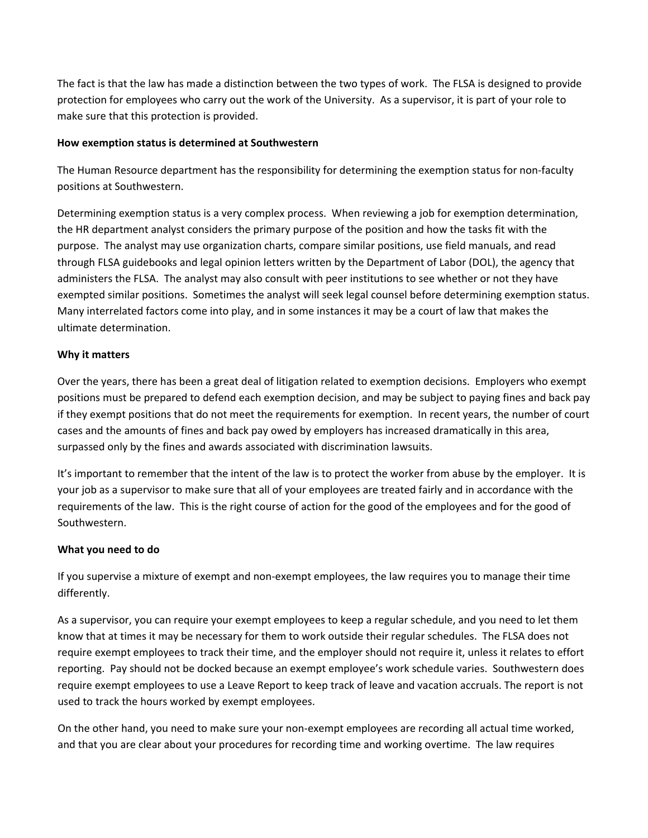The fact is that the law has made a distinction between the two types of work. The FLSA is designed to provide protection for employees who carry out the work of the University. As a supervisor, it is part of your role to make sure that this protection is provided.

# **How exemption status is determined at Southwestern**

The Human Resource department has the responsibility for determining the exemption status for non‐faculty positions at Southwestern.

Determining exemption status is a very complex process. When reviewing a job for exemption determination, the HR department analyst considers the primary purpose of the position and how the tasks fit with the purpose. The analyst may use organization charts, compare similar positions, use field manuals, and read through FLSA guidebooks and legal opinion letters written by the Department of Labor (DOL), the agency that administers the FLSA. The analyst may also consult with peer institutions to see whether or not they have exempted similar positions. Sometimes the analyst will seek legal counsel before determining exemption status. Many interrelated factors come into play, and in some instances it may be a court of law that makes the ultimate determination.

# **Why it matters**

Over the years, there has been a great deal of litigation related to exemption decisions. Employers who exempt positions must be prepared to defend each exemption decision, and may be subject to paying fines and back pay if they exempt positions that do not meet the requirements for exemption. In recent years, the number of court cases and the amounts of fines and back pay owed by employers has increased dramatically in this area, surpassed only by the fines and awards associated with discrimination lawsuits.

It's important to remember that the intent of the law is to protect the worker from abuse by the employer. It is your job as a supervisor to make sure that all of your employees are treated fairly and in accordance with the requirements of the law. This is the right course of action for the good of the employees and for the good of Southwestern.

## **What you need to do**

If you supervise a mixture of exempt and non‐exempt employees, the law requires you to manage their time differently.

As a supervisor, you can require your exempt employees to keep a regular schedule, and you need to let them know that at times it may be necessary for them to work outside their regular schedules. The FLSA does not require exempt employees to track their time, and the employer should not require it, unless it relates to effort reporting. Pay should not be docked because an exempt employee's work schedule varies. Southwestern does require exempt employees to use a Leave Report to keep track of leave and vacation accruals. The report is not used to track the hours worked by exempt employees.

On the other hand, you need to make sure your non‐exempt employees are recording all actual time worked, and that you are clear about your procedures for recording time and working overtime. The law requires